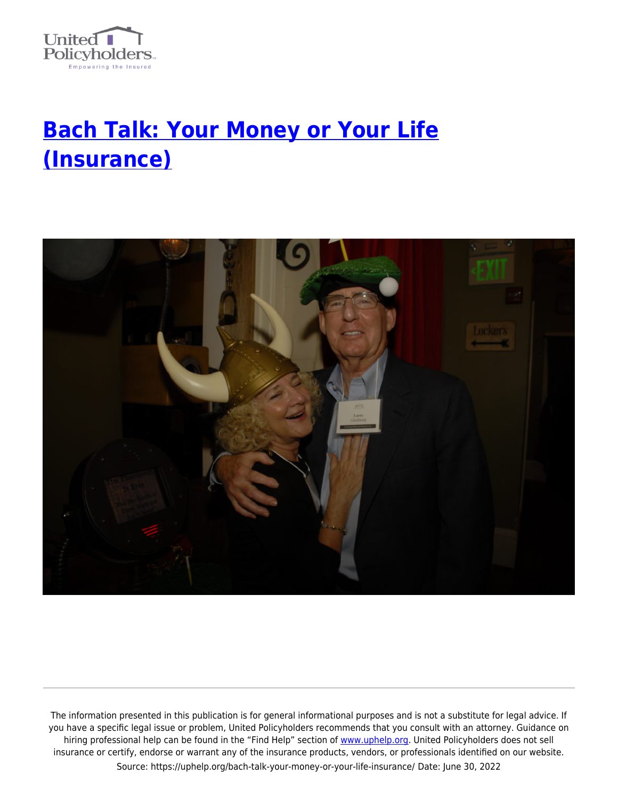

## **[Bach Talk: Your Money or Your Life](https://uphelp.org/bach-talk-your-money-or-your-life-insurance/) [\(Insurance\)](https://uphelp.org/bach-talk-your-money-or-your-life-insurance/)**



The information presented in this publication is for general informational purposes and is not a substitute for legal advice. If you have a specific legal issue or problem, United Policyholders recommends that you consult with an attorney. Guidance on hiring professional help can be found in the "Find Help" section of [www.uphelp.org.](http://www.uphelp.org/) United Policyholders does not sell insurance or certify, endorse or warrant any of the insurance products, vendors, or professionals identified on our website. Source: https://uphelp.org/bach-talk-your-money-or-your-life-insurance/ Date: June 30, 2022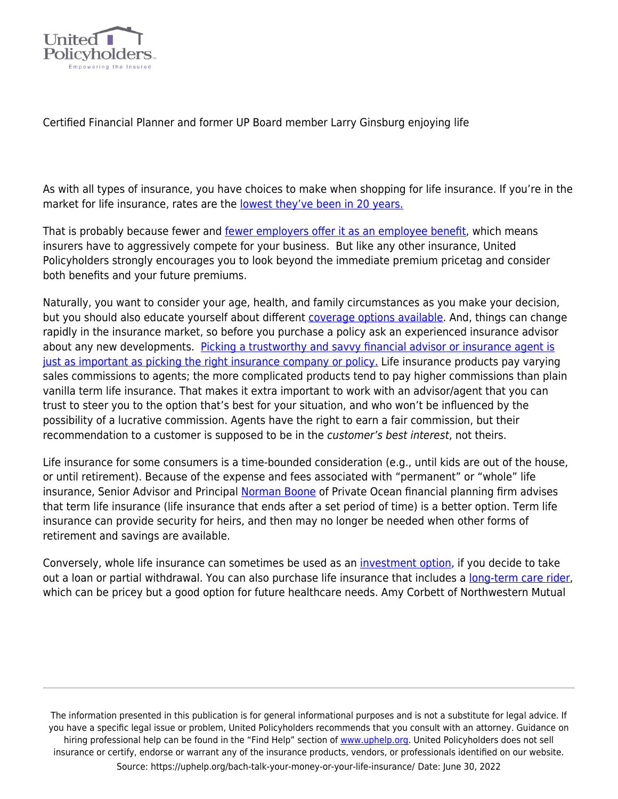

Certified Financial Planner and former UP Board member Larry Ginsburg enjoying life

As with all types of insurance, you have choices to make when shopping for life insurance. If you're in the market for life insurance, rates are the [lowest they've been in 20 years.](https://www.moneyunder30.com/life-insurance-rates-are-the-lowest-theyve-been-in-20-years)

That is probably because fewer and [fewer employers offer it as an employee benefit,](https://insurance-forums.com/employee-benefits/group-life/less-than-half-of-employers-offer-life-insurance-as-a-benefit/) which means insurers have to aggressively compete for your business. But like any other insurance, United Policyholders strongly encourages you to look beyond the immediate premium pricetag and consider both benefits and your future premiums.

Naturally, you want to consider your age, health, and family circumstances as you make your decision, but you should also educate yourself about different [coverage options available](https://uphelp.org/long-story-short/). And, things can change rapidly in the insurance market, so before you purchase a policy ask an experienced insurance advisor about any new developments. [Picking a trustworthy and savvy financial advisor or insurance agent is](https://uphelp.org/buying-tips/picking-a-good-insurance-agent-or-broker/) [just as important as picking the right insurance company or policy.](https://uphelp.org/buying-tips/picking-a-good-insurance-agent-or-broker/) Life insurance products pay varying sales commissions to agents; the more complicated products tend to pay higher commissions than plain vanilla term life insurance. That makes it extra important to work with an advisor/agent that you can trust to steer you to the option that's best for your situation, and who won't be influenced by the possibility of a lucrative commission. Agents have the right to earn a fair commission, but their recommendation to a customer is supposed to be in the *customer's best interest*, not theirs.

Life insurance for some consumers is a time-bounded consideration (e.g., until kids are out of the house, or until retirement). Because of the expense and fees associated with "permanent" or "whole" life insurance, Senior Advisor and Principal [Norman Boone](https://uphelp.org/persons/norman-m-boone-mba-cfp/) of Private Ocean financial planning firm advises that term life insurance (life insurance that ends after a set period of time) is a better option. Term life insurance can provide security for heirs, and then may no longer be needed when other forms of retirement and savings are available.

Conversely, whole life insurance can sometimes be used as an *[investment option](https://www.valuepenguin.com/life-insurance/whole-life-insurance-good-investment)*, if you decide to take out a loan or partial withdrawal. You can also purchase life insurance that includes a [long-term care rider,](https://uphelp.org/long-story-short/) which can be pricey but a good option for future healthcare needs. Amy Corbett of Northwestern Mutual

The information presented in this publication is for general informational purposes and is not a substitute for legal advice. If you have a specific legal issue or problem, United Policyholders recommends that you consult with an attorney. Guidance on hiring professional help can be found in the "Find Help" section of [www.uphelp.org.](http://www.uphelp.org/) United Policyholders does not sell insurance or certify, endorse or warrant any of the insurance products, vendors, or professionals identified on our website. Source: https://uphelp.org/bach-talk-your-money-or-your-life-insurance/ Date: June 30, 2022